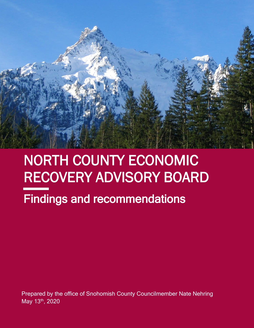

# NORTH COUNTY ECONOMIC RECOVERY ADVISORY BOARD

# Findings and recommendations

Prepared by the office of Snohomish County Councilmember Nate Nehring May 13th, 2020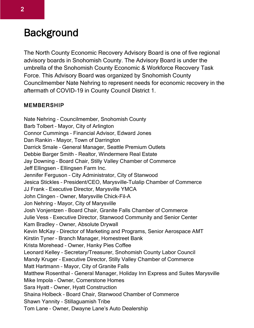### **Background**

The North County Economic Recovery Advisory Board is one of five regional advisory boards in Snohomish County. The Advisory Board is under the umbrella of the Snohomish County Economic & Workforce Recovery Task Force. This Advisory Board was organized by Snohomish County Councilmember Nate Nehring to represent needs for economic recovery in the aftermath of COVID-19 in County Council District 1.

#### MEMBERSHIP

Nate Nehring – Councilmember, Snohomish County Barb Tolbert – Mayor, City of Arlington Connor Cummings – Financial Advisor, Edward Jones Dan Rankin – Mayor, Town of Darrington Darrick Smale – General Manager, Seattle Premium Outlets Debbie Barger Smith – Realtor, Windermere Real Estate Jay Downing – Board Chair, Stilly Valley Chamber of Commerce Jeff Ellingsen – Ellingsen Farm Inc. Jennifer Ferguson – City Administrator, City of Stanwood Jesica Stickles – President/CEO, Marysville-Tulalip Chamber of Commerce JJ Frank – Executive Director, Marysville YMCA John Clingen – Owner, Marysville Chick-Fil-A Jon Nehring – Mayor, City of Marysville Josh Vonjentzen – Board Chair, Granite Falls Chamber of Commerce Julie Vess – Executive Director, Stanwood Community and Senior Center Kam Bradley – Owner, Absolute Drywall Kevin McKay – Director of Marketing and Programs, Senior Aerospace AMT Kirstin Tyner – Branch Manager, Homestreet Bank Krista Morehead – Owner, Hanky Pies Coffee Leonard Kelley – Secretary/Treasurer, Snohomish County Labor Council Mandy Kruger – Executive Director, Stilly Valley Chamber of Commerce Matt Hartmann – Mayor, City of Granite Falls Matthew Rosenthal – General Manager, Holiday Inn Express and Suites Marysville Mike Impola – Owner, Cornerstone Homes Sara Hyatt – Owner, Hyatt Construction Shaina Holbeck – Board Chair, Stanwood Chamber of Commerce Shawn Yannity – Stillaguamish Tribe Tom Lane – Owner, Dwayne Lane's Auto Dealership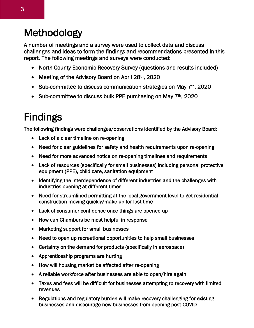### Methodology

A number of meetings and a survey were used to collect data and discuss challenges and ideas to form the findings and recommendations presented in this report. The following meetings and surveys were conducted:

- North County Economic Recovery Survey (questions and results included)
- Meeting of the Advisory Board on April 28<sup>th</sup>, 2020
- Sub-committee to discuss communication strategies on May  $7<sup>th</sup>$ , 2020
- Sub-committee to discuss bulk PPE purchasing on May  $7<sup>th</sup>$ , 2020

## Findings

The following findings were challenges/observations identified by the Advisory Board:

- Lack of a clear timeline on re-opening
- Need for clear guidelines for safety and health requirements upon re-opening
- Need for more advanced notice on re-opening timelines and requirements
- Lack of resources (specifically for small businesses) including personal protective equipment (PPE), child care, sanitation equipment
- Identifying the interdependence of different industries and the challenges with industries opening at different times
- Need for streamlined permitting at the local government level to get residential construction moving quickly/make up for lost time
- Lack of consumer confidence once things are opened up
- How can Chambers be most helpful in response
- Marketing support for small businesses
- Need to open up recreational opportunities to help small businesses
- Certainty on the demand for products (specifically in aerospace)
- Apprenticeship programs are hurting
- How will housing market be affected after re-opening
- A reliable workforce after businesses are able to open/hire again
- Taxes and fees will be difficult for businesses attempting to recovery with limited revenues
- Regulations and regulatory burden will make recovery challenging for existing businesses and discourage new businesses from opening post-COVID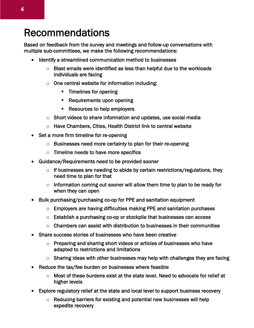#### Recommendations

Based on feedback from the survey and meetings and follow-up conversations with multiple sub-committees, we make the following recommendations:

- Identify a streamlined communication method to businesses
	- $\circ$  Blast emails were identified as less than helpful due to the workloads individuals are facing
	- $\circ$  One central website for information including:
		- **Timelines for opening**
		- Requirements upon opening
		- **Resources to help employers**
	- $\circ$  Short videos to share information and updates, use social media
	- o Have Chambers, Cities, Health District link to central website
- Set a more firm timeline for re-opening
	- $\circ$  Businesses need more certainty to plan for their re-opening
	- $\circ$  Timeline needs to have more specifics
- Guidance/Requirements need to be provided sooner
	- $\circ$  If businesses are needing to abide by certain restrictions/regulations, they need time to plan for that
	- $\circ$  Information coming out sooner will allow them time to plan to be ready for when they can open
- Bulk purchasing/purchasing co-op for PPE and sanitation equipment
	- o Employers are having difficulties making PPE and sanitation purchases
	- $\circ$  Establish a purchasing co-op or stockpile that businesses can access
	- $\circ$  Chambers can assist with distribution to businesses in their communities
- Share success stories of businesses who have been creative
	- $\circ$  Preparing and sharing short videos or articles of businesses who have adapted to restrictions and limitations
	- $\circ$  Sharing ideas with other businesses may help with challenges they are facing
- Reduce the tax/fee burden on businesses where feasible
	- $\circ$  Most of these burdens exist at the state level. Need to advocate for relief at higher levels
- Explore regulatory relief at the state and local level to support business recovery
	- $\circ$  Reducing barriers for existing and potential new businesses will help expedite recovery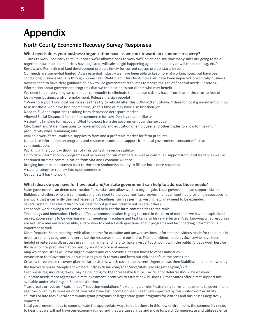### Appendix

#### North County Economic Recovery Survey Responses

#### **What needs does your business/organization have as we look toward an economic recovery?**

1. Back to work. Too early to tell but once we're allowed back to work we'll be able to see how many sales are going to hold together, how much home prices have adjusted, will sales begin happening again immediately or will there be a lag, etc.? Review and Permitting of land development projects timely for current season project starts by June.

Our needs are somewhat limited. As an essential industry we have been able to keep normal working hours but have been conducting business virtually through phone calls, WebEx, etc. Our clients however, have been impacted. Specifically business owners need to have clear guidance on how to use government recourses to bridge the gap of financial needs. Receiving information about government programs that we can pass on to our clients who may benefit

We need to do everything we can in our community to eliminate the fear our citizens have, from fear of the virus to fear of losing your business and/or employment. Release the sign people!

\* Ways to support our local businesses as they try to rebuild after this COVID-19 shutdown. \*Ideas for local government on how to assist those who have lost income through this time or may have also lost their job.

#### Need to fill open capacities resulting from depressed aerospace market

Allowed Social Distanced face to face commerce for Low-Density retailers like us.

A scientific timeline for recovery. What to expect from the government over the next year.

City, Count and State inspections to move smoothly and education of employees and other trades to allow for maximum productivity while remaining safe.

Available work force, available supplies to farm and a profitable market for farm products.

Up to date information on programs and resources, continued support from local government, constant effective communication.

Working in the public without fear of virus contact, Revenue stability.

Up to date information on programs and resources for our members as well as continued support from local leaders as well as continued on-time communication from SBA and Economic Alliance.

Bringing business and tourism back to Northern Snohomish county to fill our hotel once reopened.

A clear strategy for reentry into open commerce

Get our staff back to work

#### **What ideas do you have for how local and/or state government can help to address those needs?**

State government can deem construction "essential" and allow work to begin again. Local government can support Master Builders and others who are communicating this need to the governor. Local government can continue providing inspections for any work that is currently deemed "essential". Deadlines, such as permits, vesting, etc. may need to be extended. Several system ideas for return to business for not just my industry but several others.

Let people work having a safe environment and help get the farm commodities to the table.

Technology and innovation. I believe effective communication is going to come in the form of methods we haven't capitalized on yet. Zoom seems to be working well for meetings. Facetime and text can also be very effective. Also, knowing what resources are available and easily accessible, and or who to contact with questions about programs and fact checking information is important as well.

More frequent Zoom meetings with allotted time for question and answer sessions. Informational videos made for the public in order to simplify programs and verbalize the resources that are out there. Example: videos made by Suzi Levine have been helpful in reiterating UE process in calming manner and help to make a visual touch point with the public. Videos work best for those who interpret information best by auditory or visual means.

map which industries will have bigger impacts and can provide a natural boost to other industries.

Advocate to the Governor to let businesses go back to work and keep our citizens safe at the same time.

Create a three phase recovery plan similar to Utah's, which covers the current Urgent phase, then Stabilization and followed by the Recovery phase. Sample shown here: <https://issuu.com/goed/docs/utah-leads-together-plan/2?ff>

Cost pressures, including taxes, may be daunting for the foreseeable future. Tax relief or deferral should be explored. Our State needs more aggressive direct investment incentives to attract new business. Other States offer direct support not available under Washington State constitution.

\* tax breaks or rebates \* cuts in fees \* reducing regulations \* extending permits \* extending terms on payments to government agencies owed by businesses or citizens who have lost income or been negatively impacted by this shutdown \* no utility shutoffs or late fees \* local community grant programs or larger state grant programs for citizens and businesses negatively impacted

Local government needs to communicate the appropriate ways to do business in this new environment, the community needs to hear that we will not have our economy ruined and that we can survive and move forward. Communicate and utilize science